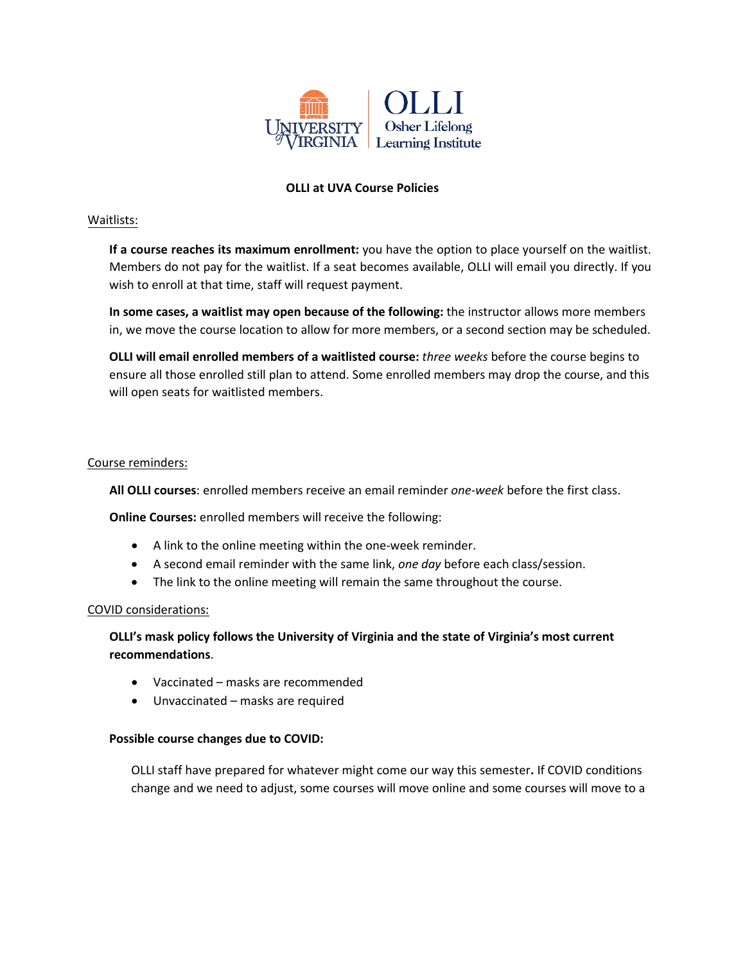

## **OLLI at UVA Course Policies**

## Waitlists:

**If a course reaches its maximum enrollment:** you have the option to place yourself on the waitlist. Members do not pay for the waitlist. If a seat becomes available, OLLI will email you directly. If you wish to enroll at that time, staff will request payment.

**In some cases, a waitlist may open because of the following:** the instructor allows more members in, we move the course location to allow for more members, or a second section may be scheduled.

**OLLI will email enrolled members of a waitlisted course:** *three weeks* before the course begins to ensure all those enrolled still plan to attend. Some enrolled members may drop the course, and this will open seats for waitlisted members.

### Course reminders:

**All OLLI courses**: enrolled members receive an email reminder *one-week* before the first class.

**Online Courses:** enrolled members will receive the following:

- A link to the online meeting within the one-week reminder.
- A second email reminder with the same link, *one day* before each class/session.
- The link to the online meeting will remain the same throughout the course.

#### COVID considerations:

# **OLLI's mask policy follows the University of Virginia and the state of Virginia's most current recommendations**.

- Vaccinated masks are recommended
- Unvaccinated masks are required

#### **Possible course changes due to COVID:**

OLLI staff have prepared for whatever might come our way this semester**.** If COVID conditions change and we need to adjust, some courses will move online and some courses will move to a